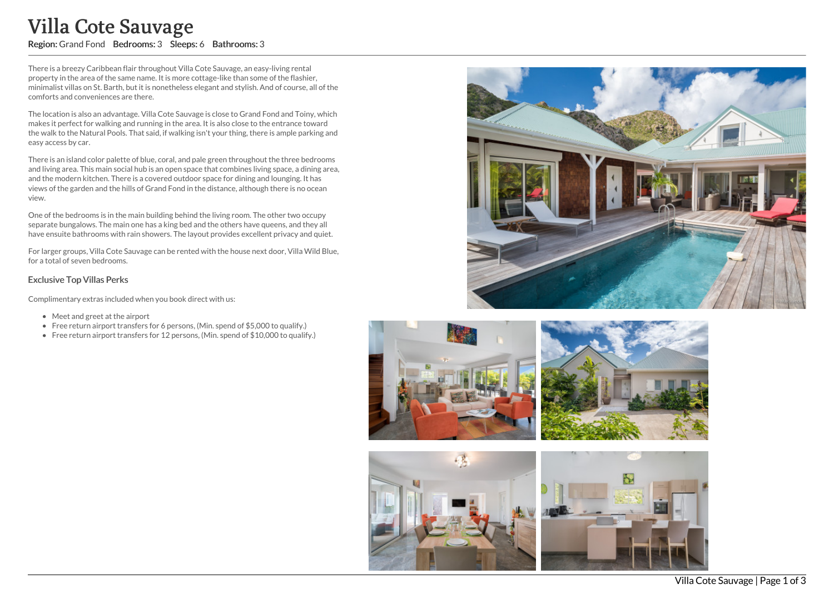## Villa Cote Sauvage

Region: Grand Fond Bedrooms: 3 Sleeps: 6 Bathrooms: 3

There is a breezy Caribbean flair throughout Villa Cote Sauvage, an easy-living rental property in the area of the same name. It is more cottage-like than some of the flashier, minimalist villas on St. Barth, but it is nonetheless elegant and stylish. And of course, all of the comforts and conveniences are there.

The location is also an advantage. Villa Cote Sauvage is close to Grand Fond and Toiny, which makes it perfect for walking and running in the area. It is also close to the entrance toward the walk to the Natural Pools. That said, if walking isn't your thing, there is ample parking and easy access by car.

There is an island color palette of blue, coral, and pale green throughout the three bedrooms and living area. This main social hub is an open space that combines living space, a dining area, and the modern kitchen. There is a covered outdoor space for dining and lounging. It has views of the garden and the hills of Grand Fond in the distance, although there is no ocean view.

One of the bedrooms is in the main building behind the living room. The other two occupy separate bungalows. The main one has a king bed and the others have queens, and they all have ensuite bathrooms with rain showers. The layout provides excellent privacy and quiet.

For larger groups, Villa Cote Sauvage can be rented with the house next door, Villa Wild Blue, for a total of seven bedrooms.

## Exclusive Top Villas Perks

Complimentary extras included when you book direct with us:

- Meet and greet at the airport
- Free return airport transfers for 6 persons, (Min. spend of \$5,000 to qualify.)
- Free return airport transfers for 12 persons, (Min. spend of \$10,000 to qualify.)





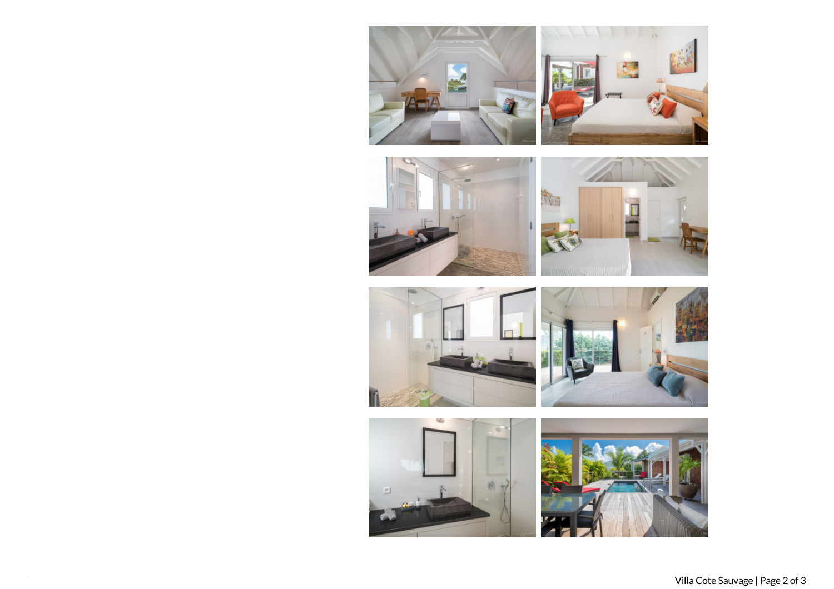